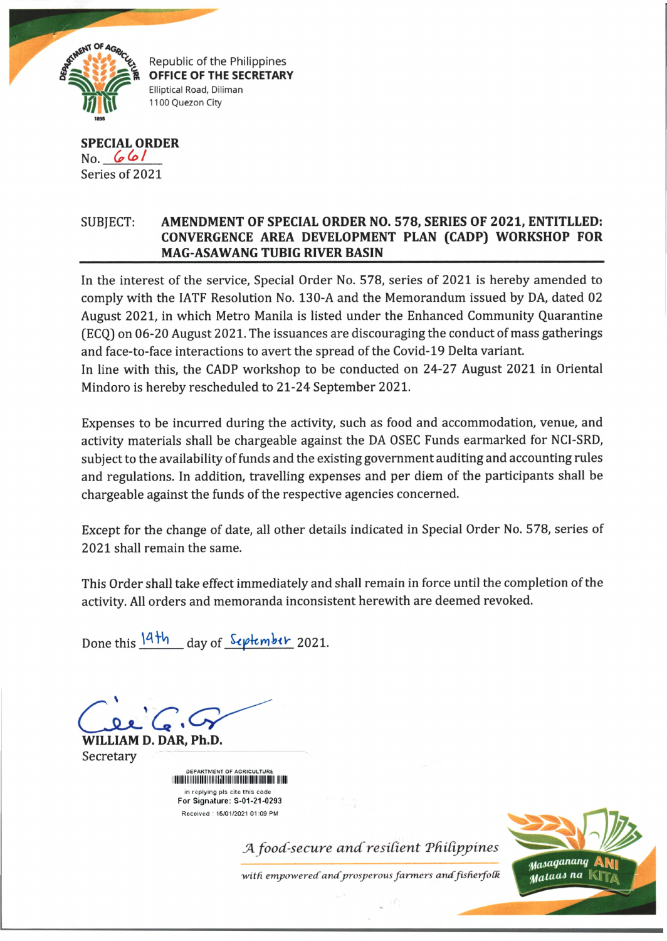

## **SPECIAL ORDER** No. *(p(ol* Series of 2021

# SUBJECT: **AMENDMENT OF SPECIAL ORDER NO. 578, SERIES OF 2021, ENTITLLED: CONVERGENCE AREA DEVELOPMENT PLAN (CADP) WORKSHOP FOR \_\_\_\_\_\_\_\_\_\_\_\_\_\_\_\_ MAG-ASAWANG TUBIG RIVER BASIN\_\_\_\_\_\_\_\_\_\_\_\_\_\_\_\_\_\_\_\_\_\_\_\_\_\_\_\_\_\_\_\_\_\_\_\_\_\_\_\_\_\_\_\_\_**

In the interest of the service, Special Order No. 578, series of 2021 is hereby amended to comply with the IATF Resolution No. 130-A and the Memorandum issued by DA, dated 02 August 2021, in which Metro Manila is listed under the Enhanced Community Quarantine (ECQ) on 06-20 August 2021. The issuances are discouraging the conduct of mass gatherings and face-to-face interactions to avert the spread of the Covid-19 Delta variant.

In line with this, the CADP workshop to be conducted on 24-27 August 2021 in Oriental Mindoro is hereby rescheduled to 21-24 September 2021.

Expenses to be incurred during the activity, such as food and accommodation, venue, and activity materials shall be chargeable against the DA OSEC Funds earmarked for NCI-SRD, subject to the availability of funds and the existing government auditing and accounting rules and regulations. In addition, travelling expenses and per diem of the participants shall be chargeable against the funds of the respective agencies concerned.

Except for the change of date, all other details indicated in Special Order No. 578, series of 2021 shall remain the same.

This Order shall take effect immediately and shall remain in force until the completion of the activity. All orders and memoranda inconsistent herewith are deemed revoked.

Done this  $\frac{14\text{th}}{4}$  day of *September* 2021.

**WILLIAM D. DAR, Ph.D.** Secretary

> DEPARTMENT OF AGRICULTURE iiiiiiiiiiiiiiiiiiiiiiiiiiiiiiiiiiiiiiiiniiniiiiiiii mi in replying pls cite this code For Signature: S-01-21-0293 Received : 15/01/2021 01:09 PM

> > *A food-secure and resilient Philippines*

*with empowered andprosperous farm ers andfisherfoCk*

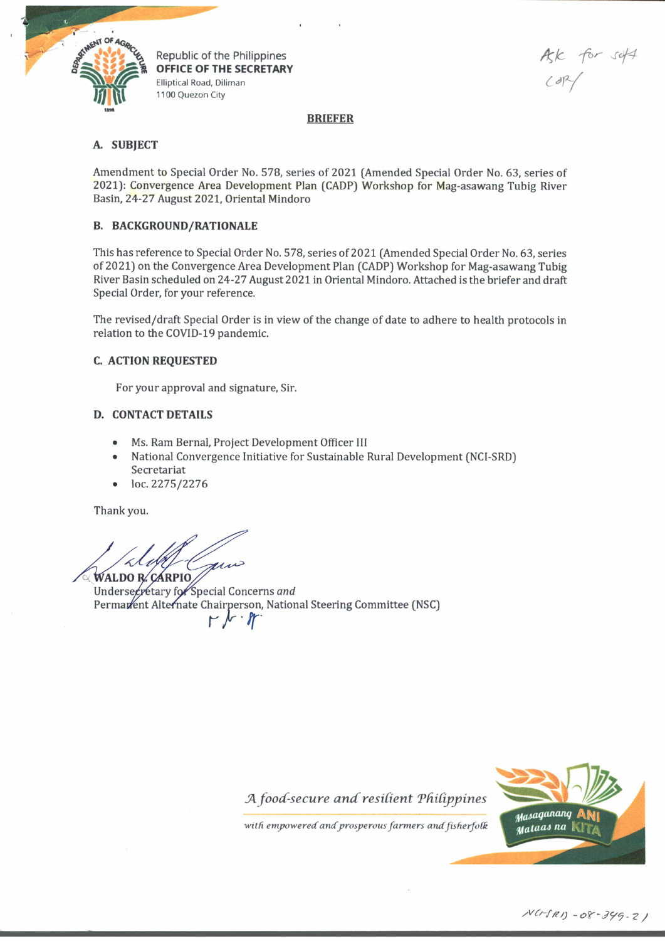

Republic of the Philippines OFFICE OF THE SECRETARY **Elliptical Road, Diliman** 1100 Quezon City

A for set*or/*

#### **BRIEFER**

#### **A. SUBJECT**

Amendment to Special Order No. 578, series of 2021 (Amended Special Order No. 63, series of 2021): Convergence Area Development Plan (CADP) Workshop for Mag-asawang Tubig River Basin, 24-27 August 2021, Oriental Mindoro

### **B. BACKGROUND/RATIONALE**

This has reference to Special Order No. 578, series of 2021 (Amended Special Order No. 63, series of 2021) on the Convergence Area Development Plan (CADP) Workshop for Mag-asawang Tubig River Basin scheduled on 24-27 August 2021 in Oriental Mindoro. Attached is the briefer and draft Special Order, for your reference.

The revised/draft Special Order is in view of the change of date to adhere to health protocols in relation to the COVID-19 pandemic.

#### **C. ACTION REQUESTED**

For your approval and signature, Sir.

#### **D. CONTACT DETAILS**

- Ms. Ram Bernal, Project Development Officer 111
- National Convergence Initiative for Sustainable Rural Development (NCI-SRD) Secretariat
- loc. 2275/2276

Thank you.

mi **WALDO R. CARPIO** 

Undersecretary for Special Concerns and Permattent Alternate Chairperson, National Steering Committee (NSC) *r f f*



with empowered and prosperous farmers and fisherfolk